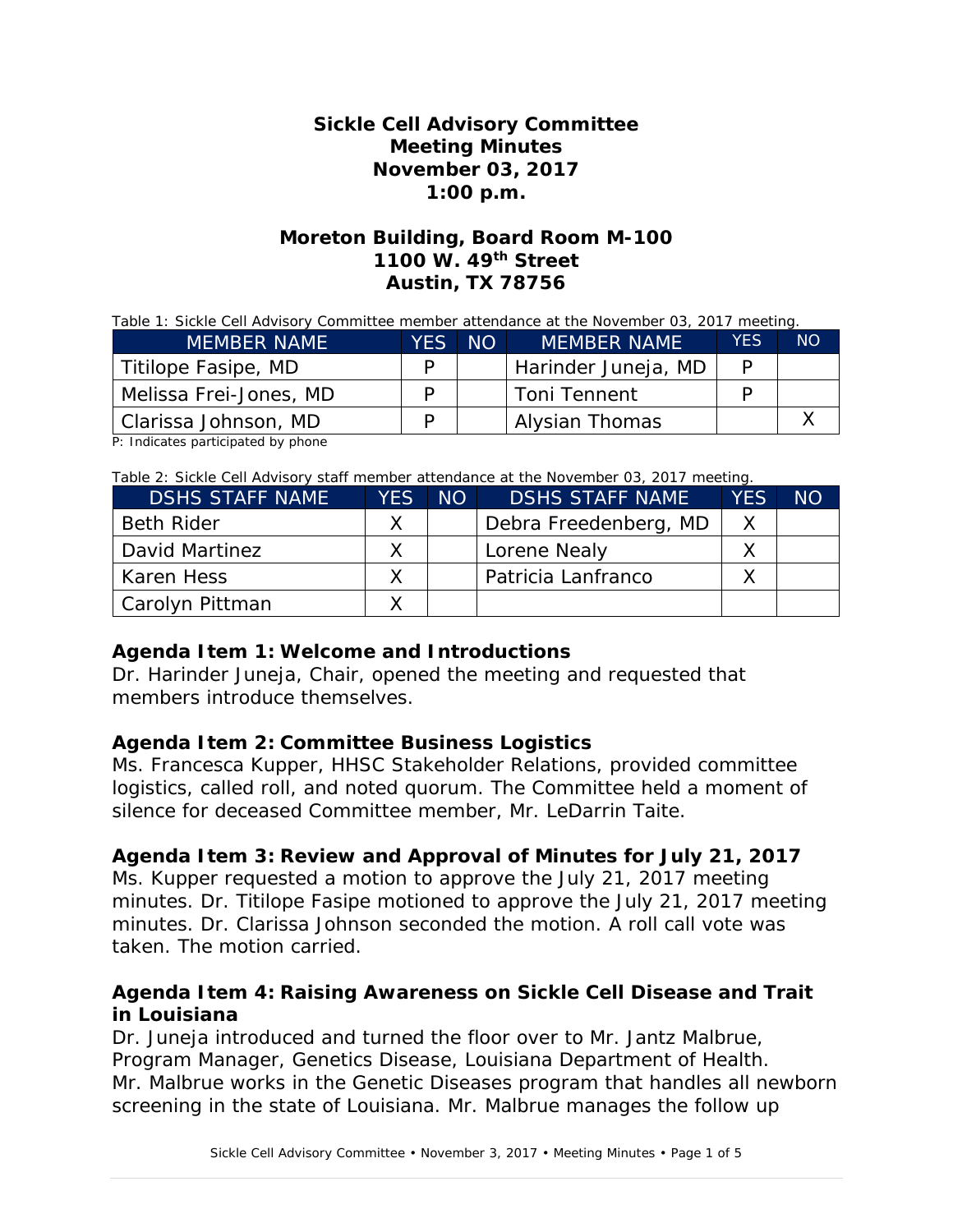# **Sickle Cell Advisory Committee Meeting Minutes November 03, 2017 1:00 p.m.**

# **Moreton Building, Board Room M-100 1100 W. 49th Street Austin, TX 78756**

#### Table 1: Sickle Cell Advisory Committee member attendance at the November 03, 2017 meeting.

| <b>MEMBER NAME</b>     | YES | NO. | <b>MEMBER NAME</b>  | <b>YFS</b> | <b>NO</b> |
|------------------------|-----|-----|---------------------|------------|-----------|
| Titilope Fasipe, MD    |     |     | Harinder Juneja, MD |            |           |
| Melissa Frei-Jones, MD |     |     | <b>Toni Tennent</b> |            |           |
| Clarissa Johnson, MD   |     |     | Alysian Thomas      |            |           |

P: Indicates participated by phone

#### Table 2: Sickle Cell Advisory staff member attendance at the November 03, 2017 meeting.

| <b>DSHS STAFF NAME</b> | <b>YES</b> | NO | <b>DSHS STAFF NAME</b> | <b>YES</b> | <b>NO</b> |
|------------------------|------------|----|------------------------|------------|-----------|
| <b>Beth Rider</b>      |            |    | Debra Freedenberg, MD  |            |           |
| David Martinez         |            |    | Lorene Nealy           |            |           |
| Karen Hess             |            |    | Patricia Lanfranco     |            |           |
| Carolyn Pittman        |            |    |                        |            |           |

#### **Agenda Item 1: Welcome and Introductions**

Dr. Harinder Juneja, Chair, opened the meeting and requested that members introduce themselves.

#### **Agenda Item 2: Committee Business Logistics**

Ms. Francesca Kupper, HHSC Stakeholder Relations, provided committee logistics, called roll, and noted quorum. The Committee held a moment of silence for deceased Committee member, Mr. LeDarrin Taite.

#### **Agenda Item 3: Review and Approval of Minutes for July 21, 2017**

Ms. Kupper requested a motion to approve the July 21, 2017 meeting minutes. Dr. Titilope Fasipe motioned to approve the July 21, 2017 meeting minutes. Dr. Clarissa Johnson seconded the motion. A roll call vote was taken. The motion carried.

#### **Agenda Item 4: Raising Awareness on Sickle Cell Disease and Trait in Louisiana**

Dr. Juneja introduced and turned the floor over to Mr. Jantz Malbrue, Program Manager, Genetics Disease, Louisiana Department of Health. Mr. Malbrue works in the Genetic Diseases program that handles all newborn screening in the state of Louisiana. Mr. Malbrue manages the follow up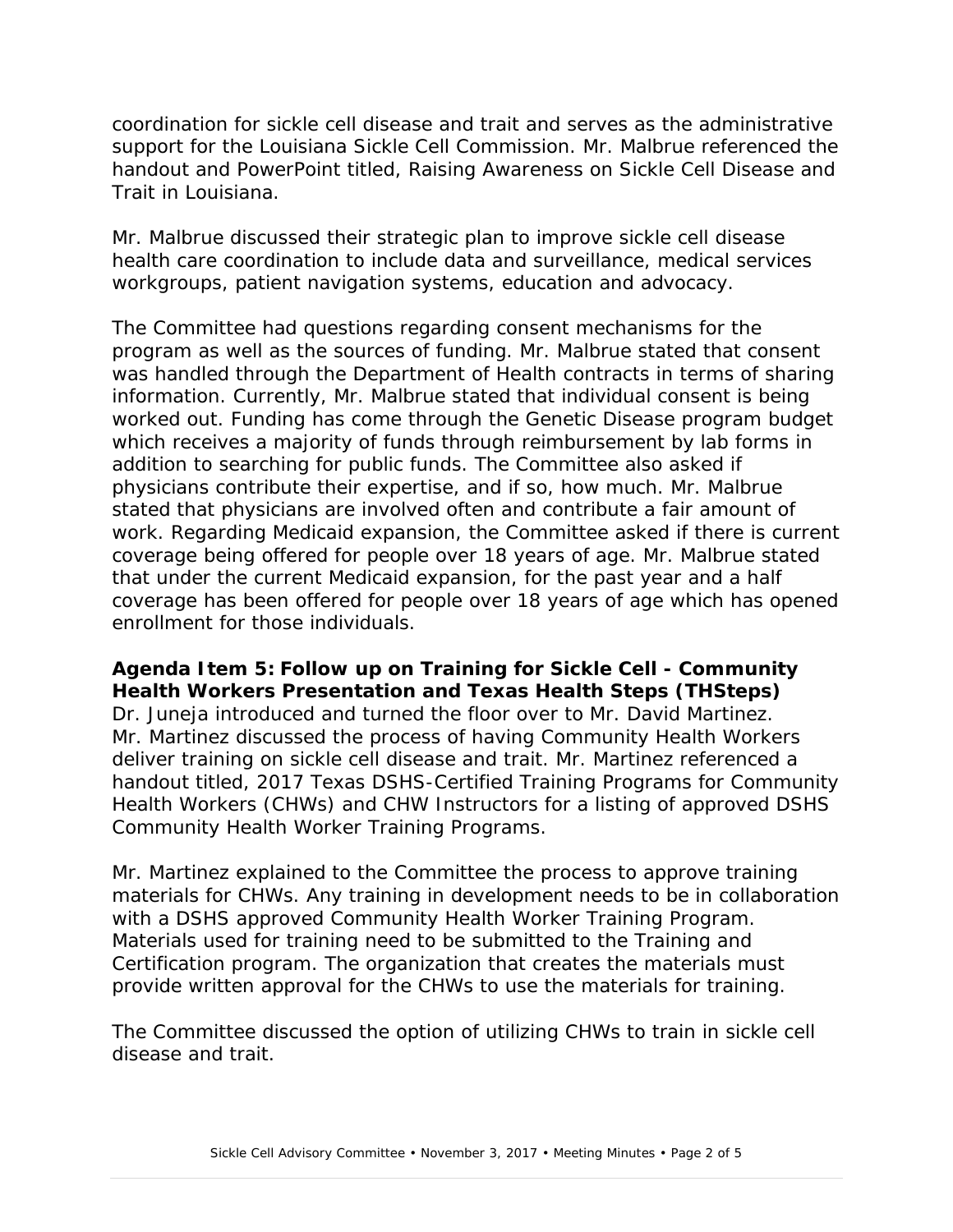coordination for sickle cell disease and trait and serves as the administrative support for the Louisiana Sickle Cell Commission. Mr. Malbrue referenced the handout and PowerPoint titled, *Raising Awareness on Sickle Cell Disease and Trait in Louisiana.*

Mr. Malbrue discussed their strategic plan to improve sickle cell disease health care coordination to include data and surveillance, medical services workgroups, patient navigation systems, education and advocacy.

The Committee had questions regarding consent mechanisms for the program as well as the sources of funding. Mr. Malbrue stated that consent was handled through the Department of Health contracts in terms of sharing information. Currently, Mr. Malbrue stated that individual consent is being worked out. Funding has come through the Genetic Disease program budget which receives a majority of funds through reimbursement by lab forms in addition to searching for public funds. The Committee also asked if physicians contribute their expertise, and if so, how much. Mr. Malbrue stated that physicians are involved often and contribute a fair amount of work. Regarding Medicaid expansion, the Committee asked if there is current coverage being offered for people over 18 years of age. Mr. Malbrue stated that under the current Medicaid expansion, for the past year and a half coverage has been offered for people over 18 years of age which has opened enrollment for those individuals.

# **Agenda Item 5: Follow up on Training for Sickle Cell - Community Health Workers Presentation and Texas Health Steps (THSteps)**

Dr. Juneja introduced and turned the floor over to Mr. David Martinez. Mr. Martinez discussed the process of having Community Health Workers deliver training on sickle cell disease and trait. Mr. Martinez referenced a handout titled, *2017 Texas DSHS-Certified Training Programs for Community Health Workers (CHWs) and CHW Instructors* for a listing of approved DSHS Community Health Worker Training Programs.

Mr. Martinez explained to the Committee the process to approve training materials for CHWs. Any training in development needs to be in collaboration with a DSHS approved Community Health Worker Training Program. Materials used for training need to be submitted to the Training and Certification program. The organization that creates the materials must provide written approval for the CHWs to use the materials for training.

The Committee discussed the option of utilizing CHWs to train in sickle cell disease and trait.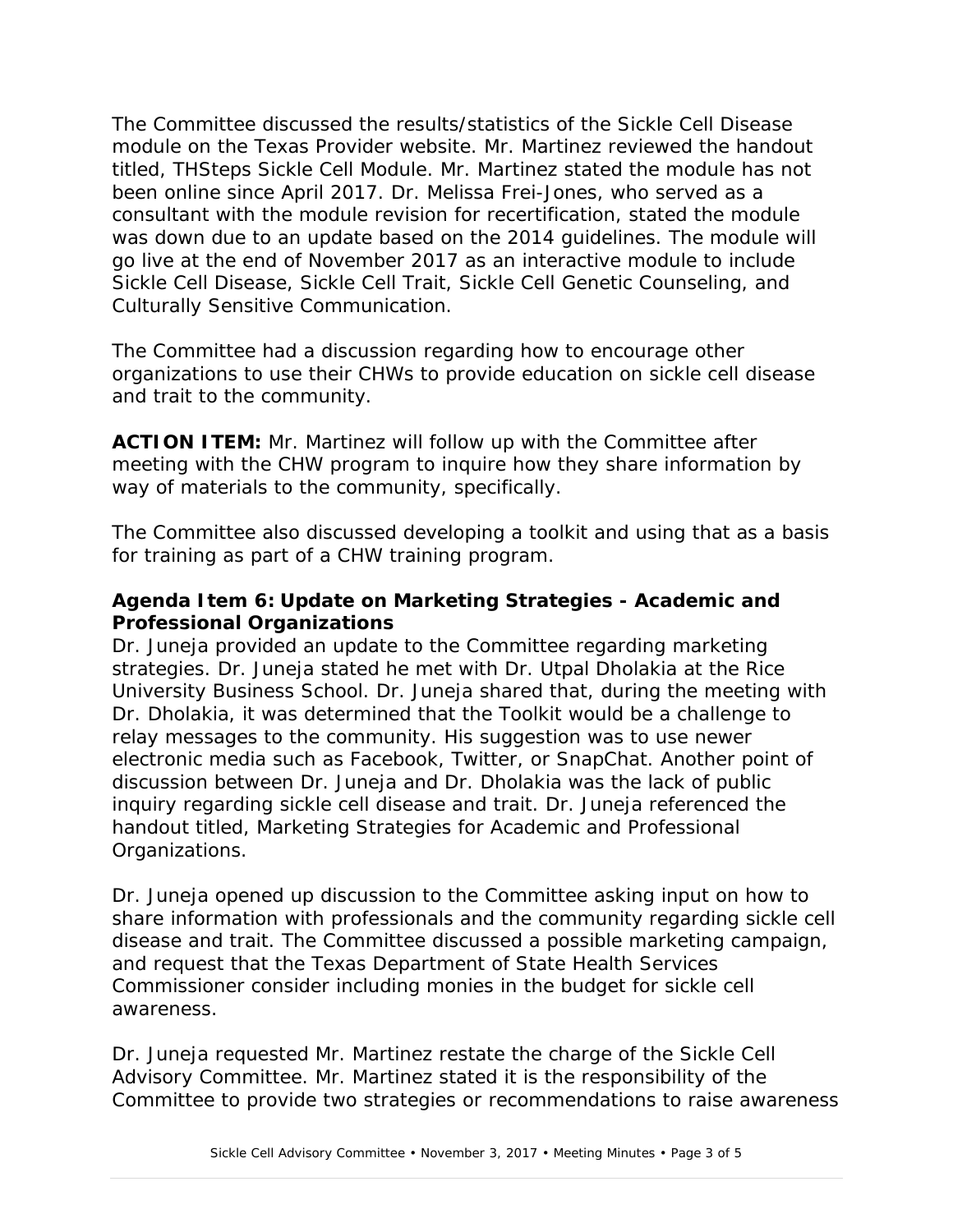The Committee discussed the results/statistics of the Sickle Cell Disease module on the Texas Provider website. Mr. Martinez reviewed the handout titled, *THSteps Sickle Cell Module*. Mr. Martinez stated the module has not been online since April 2017. Dr. Melissa Frei-Jones, who served as a consultant with the module revision for recertification, stated the module was down due to an update based on the 2014 guidelines. The module will go live at the end of November 2017 as an interactive module to include Sickle Cell Disease, Sickle Cell Trait, Sickle Cell Genetic Counseling, and Culturally Sensitive Communication.

The Committee had a discussion regarding how to encourage other organizations to use their CHWs to provide education on sickle cell disease and trait to the community.

**ACTION ITEM:** Mr. Martinez will follow up with the Committee after meeting with the CHW program to inquire how they share information by way of materials to the community, specifically.

The Committee also discussed developing a toolkit and using that as a basis for training as part of a CHW training program.

# **Agenda Item 6: Update on Marketing Strategies - Academic and Professional Organizations**

Dr. Juneja provided an update to the Committee regarding marketing strategies. Dr. Juneja stated he met with Dr. Utpal Dholakia at the Rice University Business School. Dr. Juneja shared that, during the meeting with Dr. Dholakia, it was determined that the Toolkit would be a challenge to relay messages to the community. His suggestion was to use newer electronic media such as Facebook, Twitter, or SnapChat. Another point of discussion between Dr. Juneja and Dr. Dholakia was the lack of public inquiry regarding sickle cell disease and trait. Dr. Juneja referenced the handout titled, *Marketing Strategies for Academic and Professional Organizations*.

Dr. Juneja opened up discussion to the Committee asking input on how to share information with professionals and the community regarding sickle cell disease and trait. The Committee discussed a possible marketing campaign, and request that the Texas Department of State Health Services Commissioner consider including monies in the budget for sickle cell awareness.

Dr. Juneja requested Mr. Martinez restate the charge of the Sickle Cell Advisory Committee. Mr. Martinez stated it is the responsibility of the Committee to provide two strategies or recommendations to raise awareness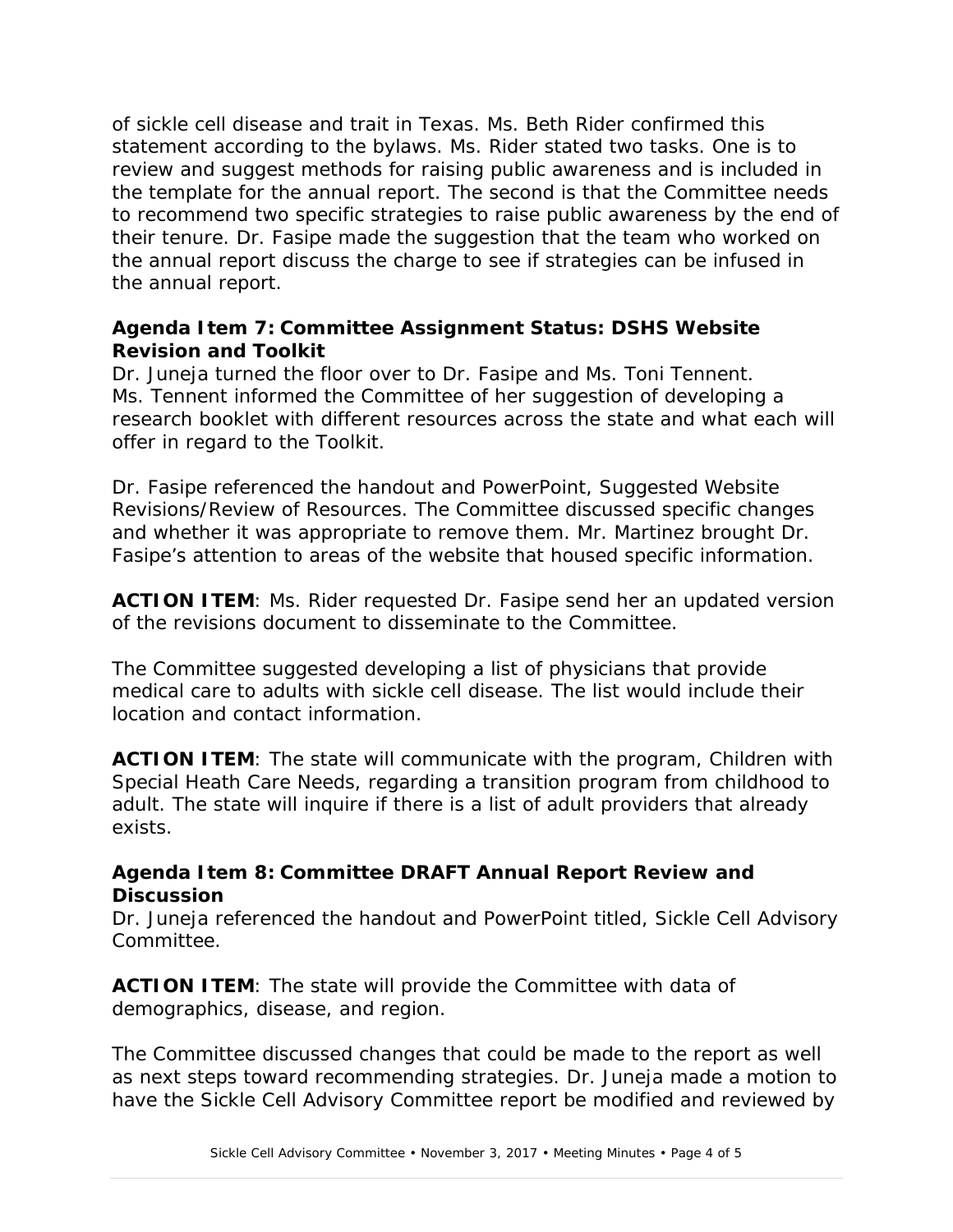of sickle cell disease and trait in Texas. Ms. Beth Rider confirmed this statement according to the bylaws. Ms. Rider stated two tasks. One is to review and suggest methods for raising public awareness and is included in the template for the annual report. The second is that the Committee needs to recommend two specific strategies to raise public awareness by the end of their tenure. Dr. Fasipe made the suggestion that the team who worked on the annual report discuss the charge to see if strategies can be infused in the annual report.

# **Agenda Item 7: Committee Assignment Status: DSHS Website Revision and Toolkit**

Dr. Juneja turned the floor over to Dr. Fasipe and Ms. Toni Tennent. Ms. Tennent informed the Committee of her suggestion of developing a research booklet with different resources across the state and what each will offer in regard to the Toolkit.

Dr. Fasipe referenced the handout and PowerPoint, *Suggested Website Revisions/Review of Resources*. The Committee discussed specific changes and whether it was appropriate to remove them. Mr. Martinez brought Dr. Fasipe's attention to areas of the website that housed specific information.

**ACTION ITEM**: Ms. Rider requested Dr. Fasipe send her an updated version of the revisions document to disseminate to the Committee.

The Committee suggested developing a list of physicians that provide medical care to adults with sickle cell disease. The list would include their location and contact information.

**ACTION ITEM:** The state will communicate with the program, Children with Special Heath Care Needs, regarding a transition program from childhood to adult. The state will inquire if there is a list of adult providers that already exists.

# **Agenda Item 8: Committee DRAFT Annual Report Review and Discussion**

Dr. Juneja referenced the handout and PowerPoint titled, *Sickle Cell Advisory Committee*.

**ACTION ITEM**: The state will provide the Committee with data of demographics, disease, and region.

The Committee discussed changes that could be made to the report as well as next steps toward recommending strategies. Dr. Juneja made a motion to have the Sickle Cell Advisory Committee report be modified and reviewed by